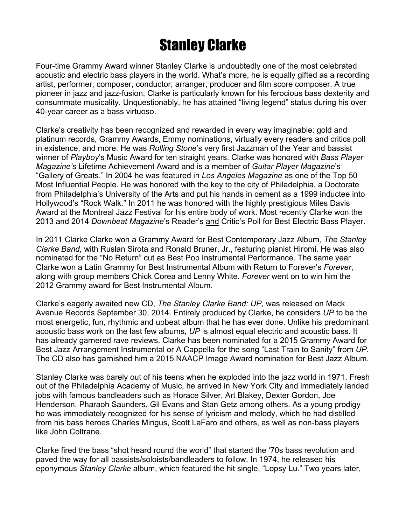## Stanley Clarke

Four-time Grammy Award winner Stanley Clarke is undoubtedly one of the most celebrated acoustic and electric bass players in the world. What's more, he is equally gifted as a recording artist, performer, composer, conductor, arranger, producer and film score composer. A true pioneer in jazz and jazz-fusion, Clarke is particularly known for his ferocious bass dexterity and consummate musicality. Unquestionably, he has attained "living legend" status during his over 40-year career as a bass virtuoso.

Clarke's creativity has been recognized and rewarded in every way imaginable: gold and platinum records, Grammy Awards, Emmy nominations, virtually every readers and critics poll in existence, and more. He was *Rolling Stone*'s very first Jazzman of the Year and bassist winner of *Playboy*'s Music Award for ten straight years. Clarke was honored with *Bass Player Magazine's* Lifetime Achievement Award and is a member of *Guitar Player Magazine*'s "Gallery of Greats." In 2004 he was featured in *Los Angeles Magazine* as one of the Top 50 Most Influential People. He was honored with the key to the city of Philadelphia, a Doctorate from Philadelphia's University of the Arts and put his hands in cement as a 1999 inductee into Hollywood's "Rock Walk." In 2011 he was honored with the highly prestigious Miles Davis Award at the Montreal Jazz Festival for his entire body of work. Most recently Clarke won the 2013 and 2014 *Downbeat Magazine*'s Reader's and Critic's Poll for Best Electric Bass Player.

In 2011 Clarke Clarke won a Grammy Award for Best Contemporary Jazz Album*, The Stanley Clarke Band,* with Ruslan Sirota and Ronald Bruner, Jr., featuring pianist Hiromi. He was also nominated for the "No Return" cut as Best Pop Instrumental Performance. The same year Clarke won a Latin Grammy for Best Instrumental Album with Return to Forever's *Forever*, along with group members Chick Corea and Lenny White. *Forever* went on to win him the 2012 Grammy award for Best Instrumental Album.

Clarke's eagerly awaited new CD, *The Stanley Clarke Band: UP*, was released on Mack Avenue Records September 30, 2014. Entirely produced by Clarke, he considers *UP* to be the most energetic, fun, rhythmic and upbeat album that he has ever done. Unlike his predominant acoustic bass work on the last few albums, *UP* is almost equal electric and acoustic bass. It has already garnered rave reviews. Clarke has been nominated for a 2015 Grammy Award for Best Jazz Arrangement Instrumental or A Cappella for the song "Last Train to Sanity" from *UP.* The CD also has garnished him a 2015 NAACP Image Award nomination for Best Jazz Album.

Stanley Clarke was barely out of his teens when he exploded into the jazz world in 1971. Fresh out of the Philadelphia Academy of Music, he arrived in New York City and immediately landed jobs with famous bandleaders such as Horace Silver, Art Blakey, Dexter Gordon, Joe Henderson, Pharaoh Saunders, Gil Evans and Stan Getz among others. As a young prodigy he was immediately recognized for his sense of lyricism and melody, which he had distilled from his bass heroes Charles Mingus, Scott LaFaro and others, as well as non-bass players like John Coltrane.

Clarke fired the bass "shot heard round the world" that started the '70s bass revolution and paved the way for all bassists/soloists/bandleaders to follow. In 1974, he released his eponymous *Stanley Clarke* album, which featured the hit single, "Lopsy Lu." Two years later,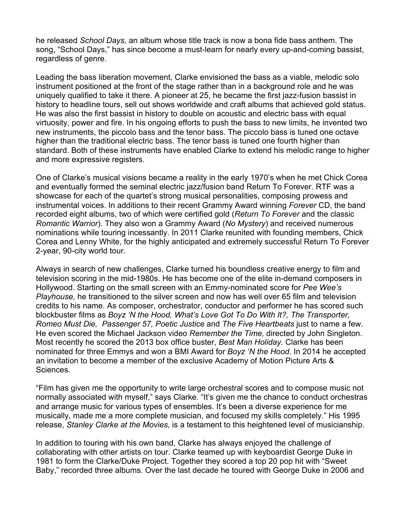he released *School Days,* an album whose title track is now a bona fide bass anthem. The song, "School Days," has since become a must-learn for nearly every up-and-coming bassist, regardless of genre.

Leading the bass liberation movement, Clarke envisioned the bass as a viable, melodic solo instrument positioned at the front of the stage rather than in a background role and he was uniquely qualified to take it there. A pioneer at 25, he became the first jazz-fusion bassist in history to headline tours, sell out shows worldwide and craft albums that achieved gold status. He was also the first bassist in history to double on acoustic and electric bass with equal virtuosity, power and fire. In his ongoing efforts to push the bass to new limits, he invented two new instruments, the piccolo bass and the tenor bass. The piccolo bass is tuned one octave higher than the traditional electric bass. The tenor bass is tuned one fourth higher than standard. Both of these instruments have enabled Clarke to extend his melodic range to higher and more expressive registers.

One of Clarke's musical visions became a reality in the early 1970's when he met Chick Corea and eventually formed the seminal electric jazz/fusion band Return To Forever. RTF was a showcase for each of the quartet's strong musical personalities, composing prowess and instrumental voices. In additions to their recent Grammy Award winning *Forever* CD, the band recorded eight albums, two of which were certified gold (*Return To Forever* and the classic *Romantic Warrior*). They also won a Grammy Award (*No Mystery*) and received numerous nominations while touring incessantly. In 2011 Clarke reunited with founding members, Chick Corea and Lenny White, for the highly anticipated and extremely successful Return To Forever 2-year, 90-city world tour.

Always in search of new challenges, Clarke turned his boundless creative energy to film and television scoring in the mid-1980s. He has become one of the elite in-demand composers in Hollywood. Starting on the small screen with an Emmy-nominated score for *Pee Wee's Playhouse,* he transitioned to the silver screen and now has well over 65 film and television credits to his name. As composer, orchestrator, conductor and performer he has scored such blockbuster films as *Boyz 'N the Hood, What's Love Got To Do With It?, The Transporter, Romeo Must Die, Passenger 57, Poetic Justice* and *The Five Heartbeats* just to name a few. He even scored the Michael Jackson video *Remember the Time,* directed by John Singleton. Most recently he scored the 2013 box office buster, *Best Man Holiday.* Clarke has been nominated for three Emmys and won a BMI Award for *Boyz 'N the Hood.* In 2014 he accepted an invitation to become a member of the exclusive Academy of Motion Picture Arts & **Sciences** 

"Film has given me the opportunity to write large orchestral scores and to compose music not normally associated with myself," says Clarke. "It's given me the chance to conduct orchestras and arrange music for various types of ensembles. It's been a diverse experience for me musically, made me a more complete musician, and focused my skills completely." His 1995 release, *Stanley Clarke at the Movies,* is a testament to this heightened level of musicianship.

In addition to touring with his own band, Clarke has always enjoyed the challenge of collaborating with other artists on tour. Clarke teamed up with keyboardist George Duke in 1981 to form the Clarke/Duke Project. Together they scored a top 20 pop hit with "Sweet Baby," recorded three albums. Over the last decade he toured with George Duke in 2006 and